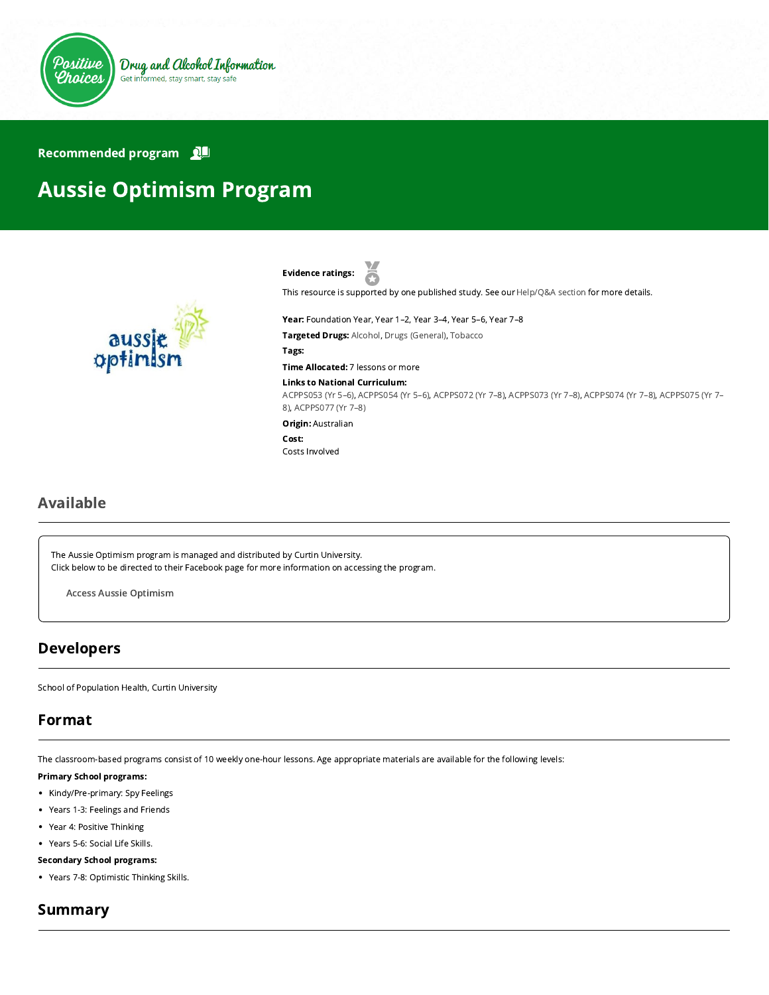

### Recommended program

# Aussie Optimism Program



Evidence ratings: Ā

This resource is supported by one published study. See our [Help/Q&A section](https://positivechoices.org.au/help/questions-and-answers/) for more details.

Year: Foundation Year, Year 1–2, Year 3–4, Year 5–6, Year 7–8 Targeted Drugs: Alcohol, Drugs (General), Tobacco

Tags:

Time Allocated: 7 lessons or more

### Links to National Curriculum:

[ACPPS053 \(Yr 5–6](http://www.australiancurriculum.edu.au/Curriculum/ContentDescription/ACPPS053)[\),](http://www.australiancurriculum.edu.au/Curriculum/ContentDescription/ACPPS075) [ACPPS054 \(Yr 5–6](http://www.australiancurriculum.edu.au/Curriculum/ContentDescription/ACPPS054)[\), A](http://www.australiancurriculum.edu.au/Curriculum/ContentDescription/ACPPS075)[CPPS072 \(Yr 7–8](http://www.australiancurriculum.edu.au/Curriculum/ContentDescription/ACPPS072)[\),](http://www.australiancurriculum.edu.au/Curriculum/ContentDescription/ACPPS075) [ACPPS073 \(Yr 7–8](http://www.australiancurriculum.edu.au/Curriculum/ContentDescription/ACPPS073)[\), A](http://www.australiancurriculum.edu.au/Curriculum/ContentDescription/ACPPS075)[CPPS074 \(Yr 7–8](http://www.australiancurriculum.edu.au/Curriculum/ContentDescription/ACPPS074)[\), ACPPS075 \(Yr 7–](http://www.australiancurriculum.edu.au/Curriculum/ContentDescription/ACPPS075) 8), [ACPPS077 \(Yr 7–8\)](http://www.australiancurriculum.edu.au/Curriculum/ContentDescription/ACPPS077)

Origin: Australian

Cost: Costs Involved

# Available

The Aussie Optimism program is managed and distributed by Curtin University. Click below to be directed to their Facebook page for more information on accessing the program.

Access Aussie [Optimism](https://www.facebook.com/aussieoptimismprogram)

### Developers

School of Population Health, Curtin University

### Format

The classroom-based programs consist of 10 weekly one-hour lessons. Age appropriate materials are available for the following levels:

#### Primary School programs:

- Kindy/Pre-primary: Spy Feelings
- Years 1-3: Feelings and Friends
- Year 4: Positive Thinking
- Years 5-6: Social Life Skills.

### Secondary School programs:

Years 7-8: Optimistic Thinking Skills.

### Summary